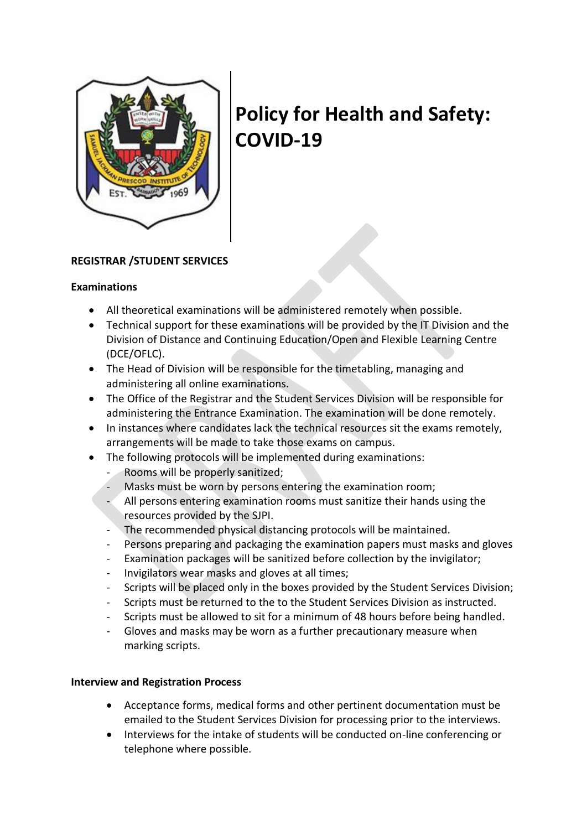

# **Policy for Health and Safety: COVID-19**

## **REGISTRAR /STUDENT SERVICES**

#### **Examinations**

- All theoretical examinations will be administered remotely when possible.
- Technical support for these examinations will be provided by the IT Division and the Division of Distance and Continuing Education/Open and Flexible Learning Centre (DCE/OFLC).
- The Head of Division will be responsible for the timetabling, managing and administering all online examinations.
- The Office of the Registrar and the Student Services Division will be responsible for administering the Entrance Examination. The examination will be done remotely.
- In instances where candidates lack the technical resources sit the exams remotely, arrangements will be made to take those exams on campus.
- The following protocols will be implemented during examinations:
	- Rooms will be properly sanitized;
	- Masks must be worn by persons entering the examination room;
	- All persons entering examination rooms must sanitize their hands using the resources provided by the SJPI.
	- The recommended physical distancing protocols will be maintained.
	- Persons preparing and packaging the examination papers must masks and gloves
	- Examination packages will be sanitized before collection by the invigilator;
	- Invigilators wear masks and gloves at all times;
	- Scripts will be placed only in the boxes provided by the Student Services Division;
	- Scripts must be returned to the to the Student Services Division as instructed.
	- Scripts must be allowed to sit for a minimum of 48 hours before being handled.
	- Gloves and masks may be worn as a further precautionary measure when marking scripts.

### **Interview and Registration Process**

- Acceptance forms, medical forms and other pertinent documentation must be emailed to the Student Services Division for processing prior to the interviews.
- Interviews for the intake of students will be conducted on-line conferencing or telephone where possible.